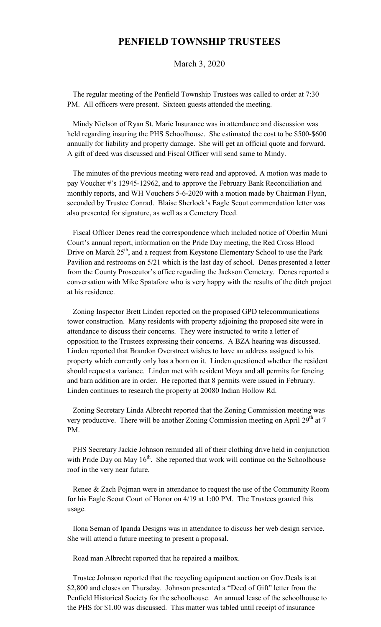## **PENFIELD TOWNSHIP TRUSTEES**

March 3, 2020

 The regular meeting of the Penfield Township Trustees was called to order at 7:30 PM. All officers were present. Sixteen guests attended the meeting.

 Mindy Nielson of Ryan St. Marie Insurance was in attendance and discussion was held regarding insuring the PHS Schoolhouse. She estimated the cost to be \$500-\$600 annually for liability and property damage. She will get an official quote and forward. A gift of deed was discussed and Fiscal Officer will send same to Mindy.

 The minutes of the previous meeting were read and approved. A motion was made to pay Voucher #'s 12945-12962, and to approve the February Bank Reconciliation and monthly reports, and WH Vouchers 5-6-2020 with a motion made by Chairman Flynn, seconded by Trustee Conrad. Blaise Sherlock's Eagle Scout commendation letter was also presented for signature, as well as a Cemetery Deed.

 Fiscal Officer Denes read the correspondence which included notice of Oberlin Muni Court's annual report, information on the Pride Day meeting, the Red Cross Blood Drive on March 25<sup>th</sup>, and a request from Keystone Elementary School to use the Park Pavilion and restrooms on 5/21 which is the last day of school. Denes presented a letter from the County Prosecutor's office regarding the Jackson Cemetery. Denes reported a conversation with Mike Spatafore who is very happy with the results of the ditch project at his residence.

 Zoning Inspector Brett Linden reported on the proposed GPD telecommunications tower construction. Many residents with property adjoining the proposed site were in attendance to discuss their concerns. They were instructed to write a letter of opposition to the Trustees expressing their concerns. A BZA hearing was discussed. Linden reported that Brandon Overstreet wishes to have an address assigned to his property which currently only has a born on it. Linden questioned whether the resident should request a variance. Linden met with resident Moya and all permits for fencing and barn addition are in order. He reported that 8 permits were issued in February. Linden continues to research the property at 20080 Indian Hollow Rd.

 Zoning Secretary Linda Albrecht reported that the Zoning Commission meeting was very productive. There will be another Zoning Commission meeting on April 29<sup>th</sup> at 7 PM.

 PHS Secretary Jackie Johnson reminded all of their clothing drive held in conjunction with Pride Day on May  $16<sup>th</sup>$ . She reported that work will continue on the Schoolhouse roof in the very near future.

 Renee & Zach Pojman were in attendance to request the use of the Community Room for his Eagle Scout Court of Honor on 4/19 at 1:00 PM. The Trustees granted this usage.

 Ilona Seman of Ipanda Designs was in attendance to discuss her web design service. She will attend a future meeting to present a proposal.

Road man Albrecht reported that he repaired a mailbox.

 Trustee Johnson reported that the recycling equipment auction on Gov.Deals is at \$2,800 and closes on Thursday. Johnson presented a "Deed of Gift" letter from the Penfield Historical Society for the schoolhouse. An annual lease of the schoolhouse to the PHS for \$1.00 was discussed. This matter was tabled until receipt of insurance